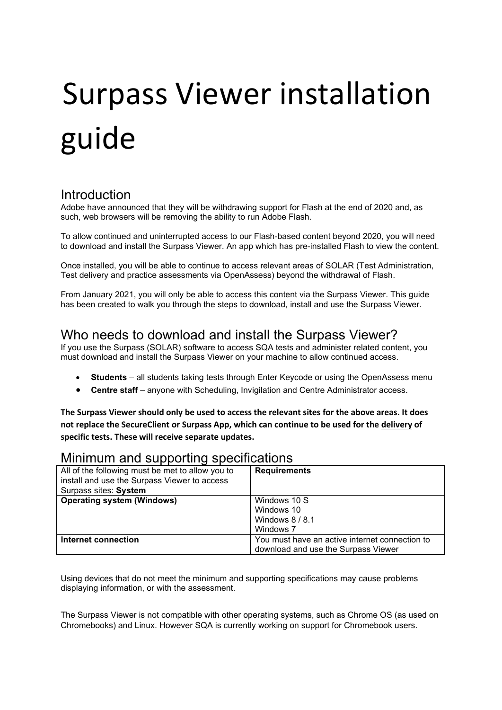# Surpass Viewer installation guide

## **Introduction**

Adobe have announced that they will be withdrawing support for Flash at the end of 2020 and, as such, web browsers will be removing the ability to run Adobe Flash.

To allow continued and uninterrupted access to our Flash-based content beyond 2020, you will need to download and install the Surpass Viewer. An app which has pre-installed Flash to view the content.

Once installed, you will be able to continue to access relevant areas of SOLAR (Test Administration, Test delivery and practice assessments via OpenAssess) beyond the withdrawal of Flash.

From January 2021, you will only be able to access this content via the Surpass Viewer. This guide has been created to walk you through the steps to download, install and use the Surpass Viewer.

# Who needs to download and install the Surpass Viewer?

If you use the Surpass (SOLAR) software to access SQA tests and administer related content, you must download and install the Surpass Viewer on your machine to allow continued access.

- **Students**  all students taking tests through Enter Keycode or using the OpenAssess menu
- **Centre staff**  anyone with Scheduling, Invigilation and Centre Administrator access.

**The Surpass Viewer should only be used to access the relevant sites for the above areas. It does not replace the SecureClient or Surpass App, which can continue to be used for the delivery of specific tests. These will receive separate updates.**

## Minimum and supporting specifications

| All of the following must be met to allow you to<br>install and use the Surpass Viewer to access<br>Surpass sites: System | <b>Requirements</b>                            |
|---------------------------------------------------------------------------------------------------------------------------|------------------------------------------------|
| <b>Operating system (Windows)</b>                                                                                         | Windows 10 S                                   |
|                                                                                                                           | Windows 10                                     |
|                                                                                                                           | Windows $8/8.1$                                |
|                                                                                                                           | Windows 7                                      |
| Internet connection                                                                                                       | You must have an active internet connection to |
|                                                                                                                           | download and use the Surpass Viewer            |

Using devices that do not meet the minimum and supporting specifications may cause problems displaying information, or with the assessment.

The Surpass Viewer is not compatible with other operating systems, such as Chrome OS (as used on Chromebooks) and Linux. However SQA is currently working on support for Chromebook users.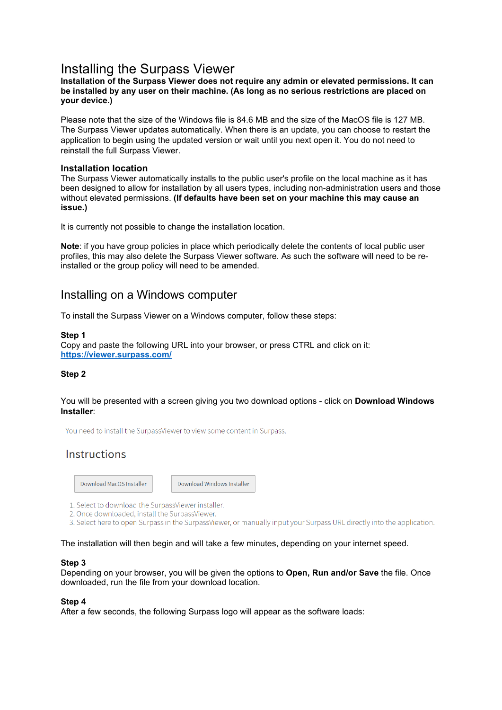# Installing the Surpass Viewer

#### **Installation of the Surpass Viewer does not require any admin or elevated permissions. It can be installed by any user on their machine. (As long as no serious restrictions are placed on your device.)**

Please note that the size of the Windows file is 84.6 MB and the size of the MacOS file is 127 MB. The Surpass Viewer updates automatically. When there is an update, you can choose to restart the application to begin using the updated version or wait until you next open it. You do not need to reinstall the full Surpass Viewer.

#### **Installation location**

The Surpass Viewer automatically installs to the public user's profile on the local machine as it has been designed to allow for installation by all users types, including non-administration users and those without elevated permissions. **(If defaults have been set on your machine this may cause an issue.)**

It is currently not possible to change the installation location.

**Note**: if you have group policies in place which periodically delete the contents of local public user profiles, this may also delete the Surpass Viewer software. As such the software will need to be reinstalled or the group policy will need to be amended.

## Installing on a Windows computer

To install the Surpass Viewer on a Windows computer, follow these steps:

#### **Step 1**

Copy and paste the following URL into your browser, or press CTRL and click on it: **<https://viewer.surpass.com/>**

#### **Step 2**

#### You will be presented with a screen giving you two download options - click on **Download Windows Installer**:

You need to install the SurpassViewer to view some content in Surpass.

## Instructions

Download MacOS Installer

Download Windows Installer

- 1. Select to download the SurpassViewer installer.
- 2. Once downloaded, install the SurpassViewer.
- 3. Select here to open Surpass in the SurpassViewer, or manually input your Surpass URL directly into the application.

#### The installation will then begin and will take a few minutes, depending on your internet speed.

#### **Step 3**

Depending on your browser, you will be given the options to **Open, Run and/or Save** the file. Once downloaded, run the file from your download location.

#### **Step 4**

After a few seconds, the following Surpass logo will appear as the software loads: